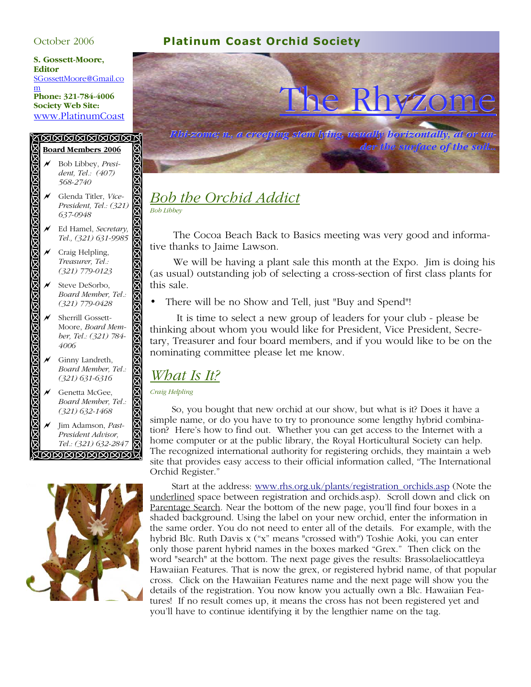### **S. Gossett-Moore, Editor**

SGossettMoore@Gmail.co m **Phone: 321-784-4006 Society Web Site:** 

#### KAAAAAAAAA **Board Members 2006**

R Bob Libbey, *Presi-*QQ *dent, Tel.: (407) 568-2740* のは、そのははははははははな a Glenda Titler, *Vice-President, Tel.: (321) 637-0948* Ed Hamel, *Secretary*, *Tel., (321) 631-9985*  $\overline{\mathcal{M}}$  Craig Helpling, *Treasurer, Tel.: (321) 779-0123* Steve DeSorbo,

**BIBI** 

**BIBI** ⊠

**ISIL** 

 $\boxtimes$ 

 $\boxtimes$ 

8

- *Board Member, Tel.: (321) 779-0428*
- $\overline{\mathscr{M}}$  Sherrill Gossett-Moore, *Board Member, Tel.: (321) 784- 4006*
- $\overline{\mathcal{M}}$  Ginny Landreth, *Board Member, Tel.: (321) 631-6316*
- Genetta McGee, *Board Member, Tel.: (321) 632-1468*

ののののののののの a Jim Adamson, *Past-President Advisor, Tel.: (321) 632-2847* <u>VØØØØØØØØØ</u>







### *Bob the Orchid Addict Bob Libbey*

 The Cocoa Beach Back to Basics meeting was very good and informative thanks to Jaime Lawson.

 We will be having a plant sale this month at the Expo. Jim is doing his (as usual) outstanding job of selecting a cross-section of first class plants for this sale.

• There will be no Show and Tell, just "Buy and Spend"!

 It is time to select a new group of leaders for your club - please be thinking about whom you would like for President, Vice President, Secretary, Treasurer and four board members, and if you would like to be on the nominating committee please let me know.

# *What Is It?*

*Craig Helpling* 

 So, you bought that new orchid at our show, but what is it? Does it have a simple name, or do you have to try to pronounce some lengthy hybrid combination? Here's how to find out. Whether you can get access to the Internet with a home computer or at the public library, the Royal Horticultural Society can help. The recognized international authority for registering orchids, they maintain a web site that provides easy access to their official information called, "The International Orchid Register."

Start at the address: www.rhs.org.uk/plants/registration\_orchids.asp (Note the underlined space between registration and orchids.asp). Scroll down and click on Parentage Search. Near the bottom of the new page, you'll find four boxes in a shaded background. Using the label on your new orchid, enter the information in the same order. You do not need to enter all of the details. For example, with the hybrid Blc. Ruth Davis x ("x" means "crossed with") Toshie Aoki, you can enter only those parent hybrid names in the boxes marked "Grex." Then click on the word "search" at the bottom. The next page gives the results: Brassolaeliocattleya Hawaiian Features. That is now the grex, or registered hybrid name, of that popular cross. Click on the Hawaiian Features name and the next page will show you the details of the registration. You now know you actually own a Blc. Hawaiian Features! If no result comes up, it means the cross has not been registered yet and you'll have to continue identifying it by the lengthier name on the tag.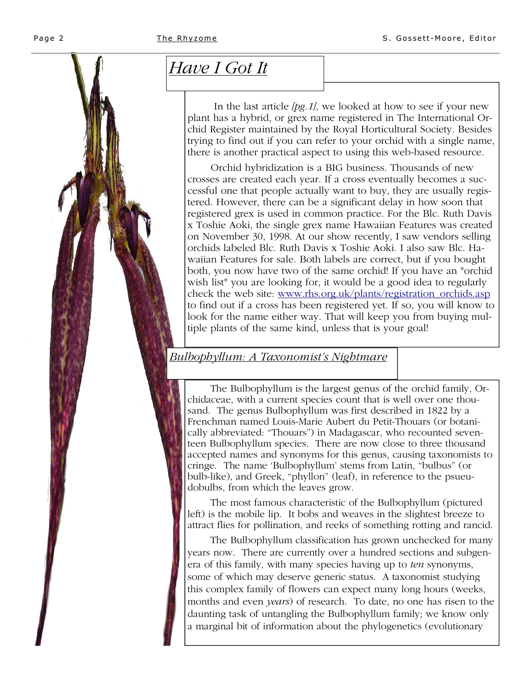# *Have I Got It*

 In the last article *[pg.1]*, we looked at how to see if your new plant has a hybrid, or grex name registered in The International Orchid Register maintained by the Royal Horticultural Society. Besides trying to find out if you can refer to your orchid with a single name, there is another practical aspect to using this web-based resource.

 Orchid hybridization is a BIG business. Thousands of new crosses are created each year. If a cross eventually becomes a successful one that people actually want to buy, they are usually registered. However, there can be a significant delay in how soon that registered grex is used in common practice. For the Blc. Ruth Davis x Toshie Aoki, the single grex name Hawaiian Features was created on November 30, 1998. At our show recently, I saw vendors selling orchids labeled Blc. Ruth Davis x Toshie Aoki. I also saw Blc. Hawaiian Features for sale. Both labels are correct, but if you bought both, you now have two of the same orchid! If you have an "orchid wish list" you are looking for, it would be a good idea to regularly check the web site: www.rhs.org.uk/plants/registration\_orchids.asp to find out if a cross has been registered yet. If so, you will know to look for the name either way. That will keep you from buying multiple plants of the same kind, unless that is your goal!

## *Bulbophyllum: A Taxonomist's Nightmare*

 The Bulbophyllum is the largest genus of the orchid family, Orchidaceae, with a current species count that is well over one thousand. The genus Bulbophyllum was first described in 1822 by a Frenchman named Louis-Marie Aubert du Petit-Thouars (or botanically abbreviated: "Thouars") in Madagascar, who recounted seventeen Bulbophyllum species. There are now close to three thousand accepted names and synonyms for this genus, causing taxonomists to cringe. The name 'Bulbophyllum' stems from Latin, "bulbus" (or bulb-like), and Greek, "phyllon" (leaf), in reference to the psueudobulbs, from which the leaves grow.

 The most famous characteristic of the Bulbophyllum (pictured left) is the mobile lip. It bobs and weaves in the slightest breeze to attract flies for pollination, and reeks of something rotting and rancid.

 The Bulbophyllum classification has grown unchecked for many years now. There are currently over a hundred sections and subgenera of this family, with many species having up to *ten* synonyms, some of which may deserve generic status. A taxonomist studying this complex family of flowers can expect many long hours (weeks, months and even *years*) of research. To date, no one has risen to the daunting task of untangling the Bulbophyllum family; we know only a marginal bit of information about the phylogenetics (evolutionary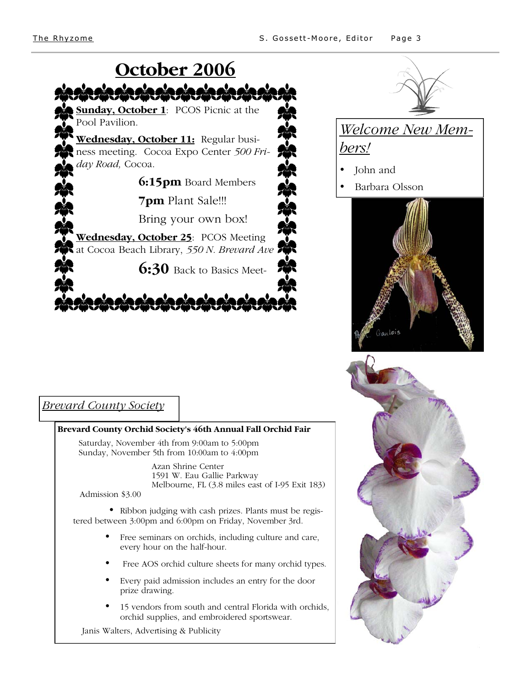

 Azan Shrine Center 1591 W. Eau Gallie Parkway Melbourne, FL (3.8 miles east of I-95 Exit 183)

Admission \$3.00

• Ribbon judging with cash prizes. Plants must be registered between 3:00pm and 6:00pm on Friday, November 3rd.

- Free seminars on orchids, including culture and care, every hour on the half-hour.
- Free AOS orchid culture sheets for many orchid types.
- Every paid admission includes an entry for the door prize drawing.
- 15 vendors from south and central Florida with orchids, orchid supplies, and embroidered sportswear.

Janis Walters, Advertising & Publicity